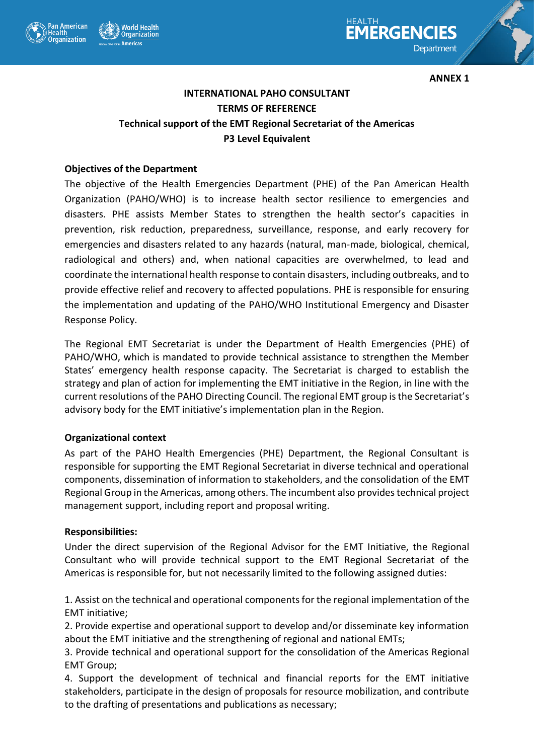



**ANNEX 1** 

# **INTERNATIONAL PAHO CONSULTANT TERMS OF REFERENCE Technical support of the EMT Regional Secretariat of the Americas P3 Level Equivalent**

#### **Objectives of the Department**

The objective of the Health Emergencies Department (PHE) of the Pan American Health Organization (PAHO/WHO) is to increase health sector resilience to emergencies and disasters. PHE assists Member States to strengthen the health sector's capacities in prevention, risk reduction, preparedness, surveillance, response, and early recovery for emergencies and disasters related to any hazards (natural, man-made, biological, chemical, radiological and others) and, when national capacities are overwhelmed, to lead and coordinate the international health response to contain disasters, including outbreaks, and to provide effective relief and recovery to affected populations. PHE is responsible for ensuring the implementation and updating of the PAHO/WHO Institutional Emergency and Disaster Response Policy.

The Regional EMT Secretariat is under the Department of Health Emergencies (PHE) of PAHO/WHO, which is mandated to provide technical assistance to strengthen the Member States' emergency health response capacity. The Secretariat is charged to establish the strategy and plan of action for implementing the EMT initiative in the Region, in line with the current resolutions of the PAHO Directing Council. The regional EMT group is the Secretariat's advisory body for the EMT initiative's implementation plan in the Region.

#### **Organizational context**

As part of the PAHO Health Emergencies (PHE) Department, the Regional Consultant is responsible for supporting the EMT Regional Secretariat in diverse technical and operational components, dissemination of information to stakeholders, and the consolidation of the EMT Regional Group in the Americas, among others. The incumbent also provides technical project management support, including report and proposal writing.

#### **Responsibilities:**

Under the direct supervision of the Regional Advisor for the EMT Initiative, the Regional Consultant who will provide technical support to the EMT Regional Secretariat of the Americas is responsible for, but not necessarily limited to the following assigned duties:

1. Assist on the technical and operational components for the regional implementation of the EMT initiative;

2. Provide expertise and operational support to develop and/or disseminate key information about the EMT initiative and the strengthening of regional and national EMTs;

3. Provide technical and operational support for the consolidation of the Americas Regional EMT Group;

4. Support the development of technical and financial reports for the EMT initiative stakeholders, participate in the design of proposals for resource mobilization, and contribute to the drafting of presentations and publications as necessary;